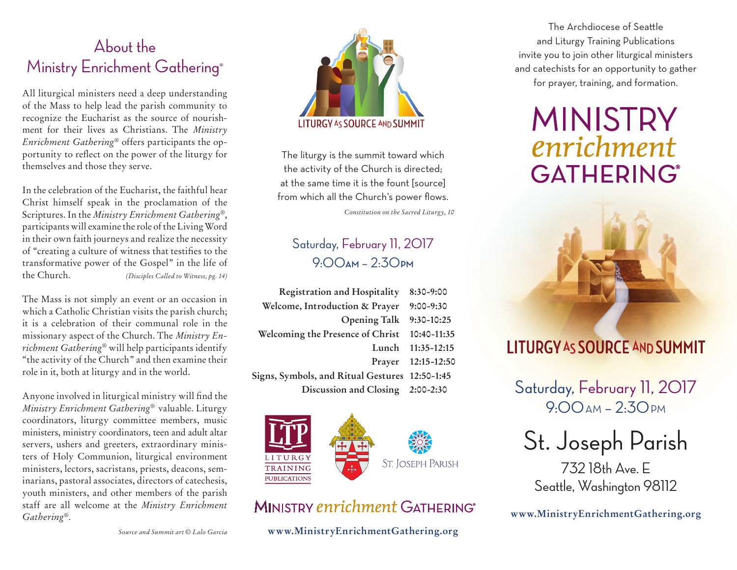### About the Ministry Enrichment Gathering®

All liturgical ministers need a deep understanding of the Mass to help lead the parish community to recognize the Eucharist as the source of nourishment for their lives as Christians. The *Ministry Enrichment Gathering*® offers participants the opportunity to reflect on the power of the liturgy for themselves and those they serve.

In the celebration of the Eucharist, the faithful hear Christ himself speak in the proclamation of the Scriptures. In the *Ministry Enrichment Gathering*®, participants will examine the role of the Living Word in their own faith journeys and realize the necessity of "creating a culture of witness that testifies to the transformative power of the Gospel" in the life of the Church. *(Disciples Called to Witness, pg. 14)*

The Mass is not simply an event or an occasion in which a Catholic Christian visits the parish church; it is a celebration of their communal role in the missionary aspect of the Church. The *Ministry Enrichment Gathering*® will help participants identify "the activity of the Church" and then examine their role in it, both at liturgy and in the world.

Anyone involved in liturgical ministry will find the *Ministry Enrichment Gathering*® valuable. Liturgy coordinators, liturgy committee members, music ministers, ministry coordinators, teen and adult altar servers, ushers and greeters, extraordinary ministers of Holy Communion, liturgical environment ministers, lectors, sacristans, priests, deacons, seminarians, pastoral associates, directors of catechesis, youth ministers, and other members of the parish staff are all welcome at the *Ministry Enrichment Gathering*®.



The liturgy is the summit toward which the activity of the Church is directed; at the same time it is the fount [source] from which all the Church's power flows.

*Constitution on the Sacred Liturgy, 10*

### Saturday, February 11, 2017 9:00**AM** – 2:30**PM**

| <b>Registration and Hospitality</b>            | $8:30-9:00$        |
|------------------------------------------------|--------------------|
| Welcome, Introduction & Prayer                 | $9:00 - 9:30$      |
| <b>Opening Talk</b>                            | 9:30-10:25         |
| Welcoming the Presence of Christ               | 10:40-11:35        |
| Lunch                                          | $11:35 - 12:15$    |
|                                                | Prayer 12:15-12:50 |
| Signs, Symbols, and Ritual Gestures 12:50-1:45 |                    |
| Discussion and Closing 2:00-2:30               |                    |



### MINISTRY enrichment GATHERING®

**www.MinistryEnrichmentGathering.org**

The Archdiocese of Seattle and Liturgy Training Publications invite you to join other liturgical ministers and catechists for an opportunity to gather for prayer, training, and formation.

# **MINISTRY** enrichment **GATHERING®**



## **LITURGY AS SOURCE AND SUMMIT**

Saturday, February 11, 2017 9:00 дм - 2:30 рм

# St. Joseph Parish

732 18th Ave. E Seattle, Washington 98112

**www.MinistryEnrichmentGathering.org**